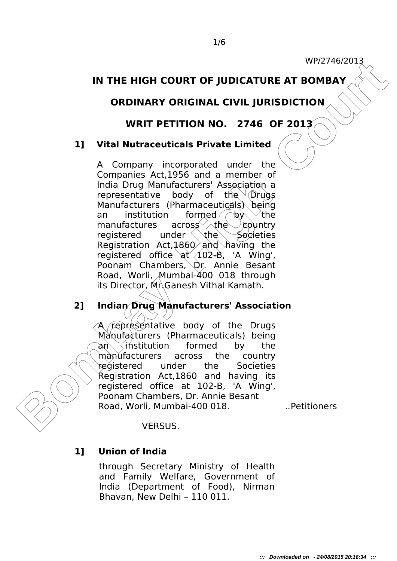## **IN THE HIGH COURT OF JUDICATURE AT BOMBAY**

# **ORDINARY ORIGINAL CIVIL JURISDICTION**

### **WRIT PETITION NO. 2746 OF 2013**

### **1] Vital Nutraceuticals Private Limited**

**BOMBAY CRIGHTER AT BOMBAY**<br> **BRIDGETION TO RESULTION WELT BOMBAY**<br> **BRIDGETION TO STATE OF 2013**<br> **BOMBAY ORIGINAL CIVIL JURISDICTION**<br> **BOMBAY ORIGINAL CIVIL JURISDICTION**<br> **BOMBAY**<br> **EXECUTE TRIPLE AND CONSIST TO CONSIS** A Company incorporated under the Companies Act,1956 and a member of India Drug Manufacturers' Association a representative body of the  $\sqrt{\alpha}$  Drugs Manufacturers (Pharmaceuticals) being an institution formed  $\log \sqrt{\kappa}$ manufactures across  $\vee$  the country registered under  $\theta$  the Societies Registration Act,  $1860^{\circ}$  and having the registered office  $a^2$   $(102-8)$ , 'A Wing', Poonam Chambers, Dr. Annie Besant Road, Worli, Mumbai-400 018 through its Director, Mr.Ganesh Vithal Kamath.

## **2] Indian Drug Manufacturers' Association**

A representative body of the Drugs Manufacturers (Pharmaceuticals) being an  $\leq$ institution formed by the manufacturers across the country registered under the Societies Registration Act,1860 and having its registered office at 102-B, 'A Wing', Poonam Chambers, Dr. Annie Besant Road, Worli, Mumbai-400 018. ..Petitioners

#### VERSUS.

#### **1] Union of India**

through Secretary Ministry of Health and Family Welfare, Government of India (Department of Food), Nirman Bhavan, New Delhi – 110 011.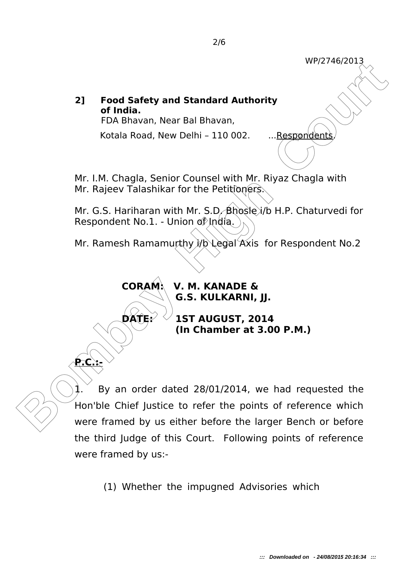# **2] Food Safety and Standard Authority of India.**

FDA Bhavan, Near Bal Bhavan,

Kotala Road, New Delhi - 110 002. ...Respondents

Mr. I.M. Chagla, Senior Counsel with Mr. Riyaz Chagla with Mr. Rajeev Talashikar for the Petitioners.

Mr. G.S. Hariharan with Mr. S.D. Bhosle i/b H.P. Chaturvedi for Respondent No.1. - Union of India.

Mr. Ramesh Ramamurthy i/b Legal Axis for Respondent No.2

**CORAM: V. M. KANADE & G.S. KULKARNI, JJ.**

**P.C.:-** 

**DATE: 1ST AUGUST, 2014 (In Chamber at 3.00 P.M.)**

**Bond Safety and Standard Authority**<br> **Bondia.**<br> **Bondia.**<br> **Bondia.**<br> **Bondia.**<br> **Bondia.**<br> **Bondia.**<br> **Bondia.**<br> **Bondia.**<br> **Bondia.**<br> **Bondia.**<br> **Bondia.**<br> **Bondia.**<br> **Bondia.**<br> **Bondia.**<br> **Bondia.**<br> **Bondia.**<br> **Bondia.** 1. By an order dated 28/01/2014, we had requested the Hon'ble Chief Justice to refer the points of reference which were framed by us either before the larger Bench or before the third Judge of this Court. Following points of reference were framed by us:-

(1) Whether the impugned Advisories which

WP/2746/2013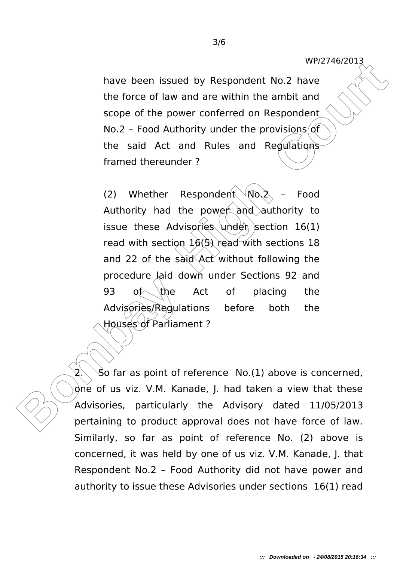have been issued by Respondent No.2 have the force of law and are within the ambit and scope of the power conferred on Respondent No.2 - Food Authority under the provisions of the said Act and Rules and Regulations framed thereunder ?

have been issued by Respondent No.2 have been issued by Respondent No.2 the force of law and are within the ambit and scope of the power conferred on Respondent No.2 - Food Authority under the provisions of the said Act an (2) Whether Respondent  $W_0$ ,  $\lambda$  – Food Authority had the power and authority to issue these Advisories under section  $16(1)$ read with section  $16(5)$  read with sections 18 and 22 of the said Act without following the procedure laid down under Sections 92 and 93 of the Act of placing the Advisories/Regulations before both the Houses of Parliament?

 $\delta$ o far as point of reference No.(1) above is concerned, one of us viz. V.M. Kanade, J. had taken a view that these Advisories, particularly the Advisory dated 11/05/2013 pertaining to product approval does not have force of law. Similarly, so far as point of reference No. (2) above is concerned, it was held by one of us viz. V.M. Kanade, J. that Respondent No.2 – Food Authority did not have power and authority to issue these Advisories under sections 16(1) read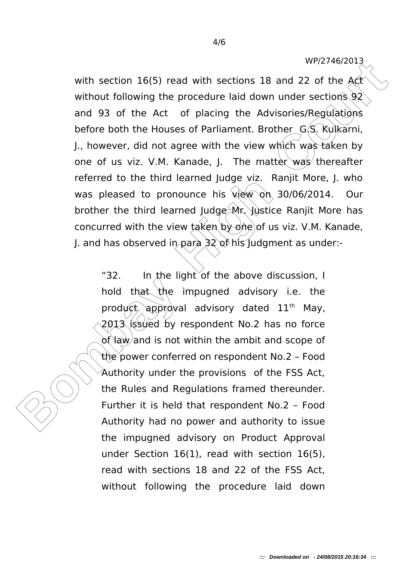WP/2746/2013

with section 16(5) read with sections 18 and 22 of the Act<br>without following the procedure laid down under sections 92<br>and 93 of the Act of placing the Advisories/Regulations<br>before both the Houses of Parliament. Brother\_G with section 16(5) read with sections 18 and 22 of the  $A<sup>c</sup>$ without following the procedure laid down under sections  $92$ and 93 of the Act of placing the Advisories/Regulations before both the Houses of Parliament. Brother G.S. Kulkarni, J., however, did not agree with the view which was taken by one of us viz. V.M. Kanade, J. The matter was thereafter referred to the third learned Judge viz. Ranjit More, J. who was pleased to pronounce his view on 30/06/2014. Our brother the third learned Judge  $M_r$  Justice Ranjit More has concurred with the view taken by one of us viz. V.M. Kanade, J. and has observed in para  $32$  of his Judgment as under:-

"32. In the light of the above discussion, I hold that the impugned advisory i.e. the product approval advisory dated  $11<sup>th</sup>$  May, 2013 issued by respondent No.2 has no force of law/and is not within the ambit and scope of the power conferred on respondent No.2 – Food Authority under the provisions of the FSS Act, the Rules and Regulations framed thereunder. Further it is held that respondent No.2 – Food Authority had no power and authority to issue the impugned advisory on Product Approval under Section 16(1), read with section 16(5), read with sections 18 and 22 of the FSS Act, without following the procedure laid down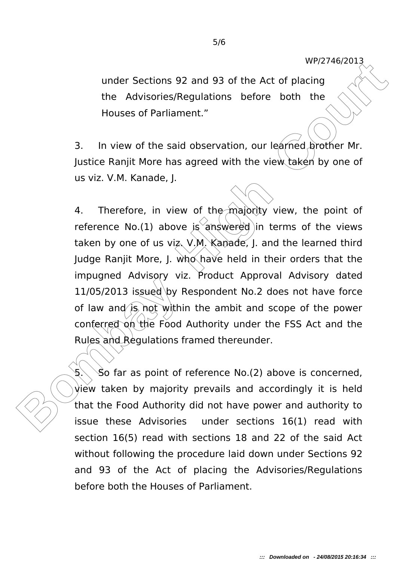under Sections 92 and 93 of the Act of placing the Advisories/Regulations before both the Houses of Parliament."

3. In view of the said observation, our learned brother Mr. Justice Ranjit More has agreed with the view taken by one of us viz. V.M. Kanade, J.

under Sections 92 and 93 of the Act of placing<br>the Advisories/Regulations before both the<br>Houses of Parliament."<br>**Bombay High Court Court Court Court Court Court Court Court Court Court Court Court Court Court Court Court** 4. Therefore, in view of the majority view, the point of reference No.(1) above  $i$ s answered in terms of the views taken by one of us viz. V.M. Kanade, J. and the learned third Judge Ranjit More, J. who have held in their orders that the impugned Advisory viz. Product Approval Advisory dated  $11/05/2013$  issued by Respondent No.2 does not have force of law and is not within the ambit and scope of the power conferred on the Food Authority under the FSS Act and the Rules and Regulations framed thereunder.

 $5.$  So far as point of reference No.(2) above is concerned, view taken by majority prevails and accordingly it is held that the Food Authority did not have power and authority to issue these Advisories under sections 16(1) read with section 16(5) read with sections 18 and 22 of the said Act without following the procedure laid down under Sections 92 and 93 of the Act of placing the Advisories/Regulations before both the Houses of Parliament.